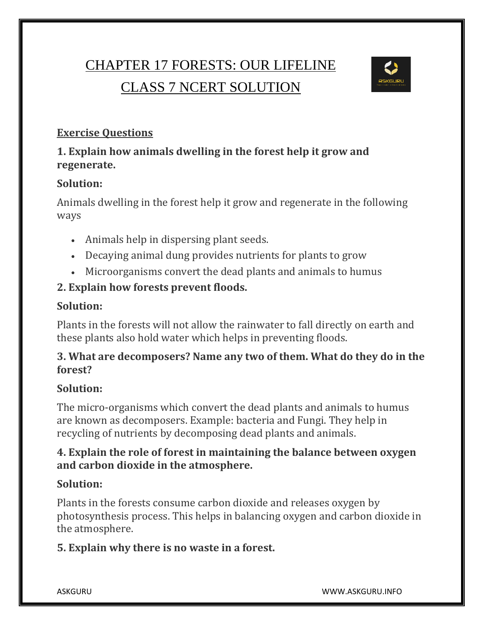# CHAPTER 17 FORESTS: OUR LIFELINE CLASS 7 NCERT SOLUTION



#### **Exercise Questions**

## **1. Explain how animals dwelling in the forest help it grow and regenerate.**

#### **Solution:**

Animals dwelling in the forest help it grow and regenerate in the following ways

- Animals help in dispersing plant seeds.
- Decaying animal dung provides nutrients for plants to grow
- Microorganisms convert the dead plants and animals to humus

## **2. Explain how forests prevent floods.**

#### **Solution:**

Plants in the forests will not allow the rainwater to fall directly on earth and these plants also hold water which helps in preventing floods.

#### **3. What are decomposers? Name any two of them. What do they do in the forest?**

#### **Solution:**

The micro-organisms which convert the dead plants and animals to humus are known as decomposers. Example: bacteria and Fungi. They help in recycling of nutrients by decomposing dead plants and animals.

#### **4. Explain the role of forest in maintaining the balance between oxygen and carbon dioxide in the atmosphere.**

#### **Solution:**

Plants in the forests consume carbon dioxide and releases oxygen by photosynthesis process. This helps in balancing oxygen and carbon dioxide in the atmosphere.

#### **5. Explain why there is no waste in a forest.**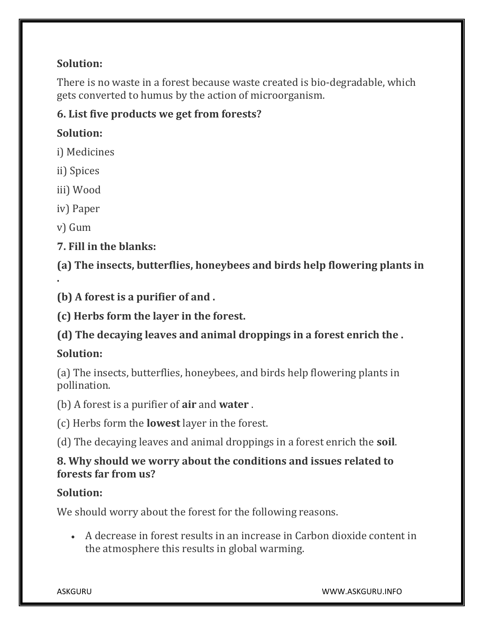## **Solution:**

There is no waste in a forest because waste created is bio-degradable, which gets converted to humus by the action of microorganism.

## **6. List five products we get from forests?**

## **Solution:**

i) Medicines

ii) Spices

iii) Wood

iv) Paper

v) Gum

**.**

## **7. Fill in the blanks:**

**(a) The insects, butterflies, honeybees and birds help flowering plants in** 

**(b) A forest is a purifier of and .**

**(c) Herbs form the layer in the forest.**

**(d) The decaying leaves and animal droppings in a forest enrich the .**

## **Solution:**

(a) The insects, butterflies, honeybees, and birds help flowering plants in pollination.

(b) A forest is a purifier of **air** and **water** .

(c) Herbs form the **lowest** layer in the forest.

(d) The decaying leaves and animal droppings in a forest enrich the **soil**.

## **8. Why should we worry about the conditions and issues related to forests far from us?**

## **Solution:**

We should worry about the forest for the following reasons.

 A decrease in forest results in an increase in Carbon dioxide content in the atmosphere this results in global warming.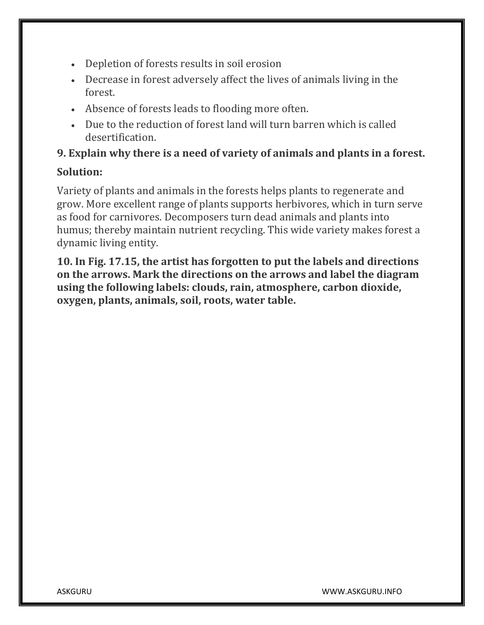- Depletion of forests results in soil erosion
- Decrease in forest adversely affect the lives of animals living in the forest.
- Absence of forests leads to flooding more often.
- Due to the reduction of forest land will turn barren which is called desertification.

#### **9. Explain why there is a need of variety of animals and plants in a forest.**

#### **Solution:**

Variety of plants and animals in the forests helps plants to regenerate and grow. More excellent range of plants supports herbivores, which in turn serve as food for carnivores. Decomposers turn dead animals and plants into humus; thereby maintain nutrient recycling. This wide variety makes forest a dynamic living entity.

**10. In Fig. 17.15, the artist has forgotten to put the labels and directions on the arrows. Mark the directions on the arrows and label the diagram using the following labels: clouds, rain, atmosphere, carbon dioxide, oxygen, plants, animals, soil, roots, water table.**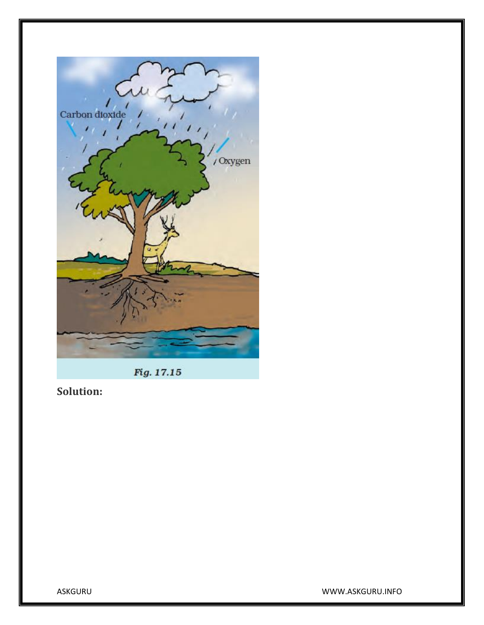

Fig. 17.15

**Solution:**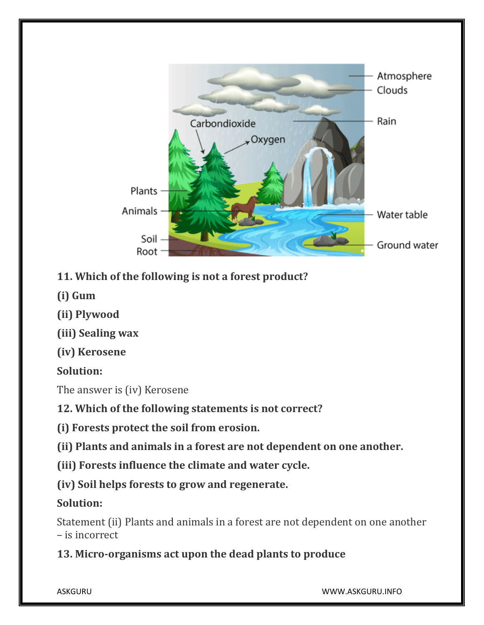

- **11. Which of the following is not a forest product?**
- **(i) Gum**
- **(ii) Plywood**
- **(iii) Sealing wax**
- **(iv) Kerosene**

**Solution:**

The answer is (iv) Kerosene

**12. Which of the following statements is not correct?**

**(i) Forests protect the soil from erosion.**

**(ii) Plants and animals in a forest are not dependent on one another.**

**(iii) Forests influence the climate and water cycle.**

**(iv) Soil helps forests to grow and regenerate.**

## **Solution:**

Statement (ii) Plants and animals in a forest are not dependent on one another – is incorrect

**13. Micro-organisms act upon the dead plants to produce**